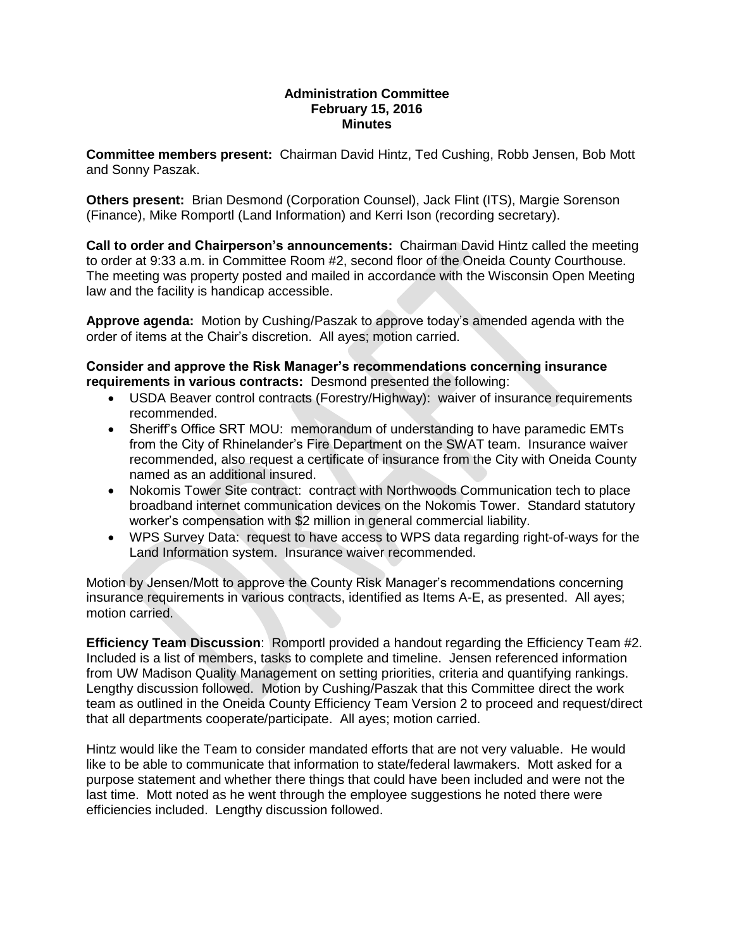#### **Administration Committee February 15, 2016 Minutes**

**Committee members present:** Chairman David Hintz, Ted Cushing, Robb Jensen, Bob Mott and Sonny Paszak.

**Others present:** Brian Desmond (Corporation Counsel), Jack Flint (ITS), Margie Sorenson (Finance), Mike Romportl (Land Information) and Kerri Ison (recording secretary).

**Call to order and Chairperson's announcements:** Chairman David Hintz called the meeting to order at 9:33 a.m. in Committee Room #2, second floor of the Oneida County Courthouse. The meeting was property posted and mailed in accordance with the Wisconsin Open Meeting law and the facility is handicap accessible.

**Approve agenda:** Motion by Cushing/Paszak to approve today's amended agenda with the order of items at the Chair's discretion. All ayes; motion carried.

**Consider and approve the Risk Manager's recommendations concerning insurance requirements in various contracts:** Desmond presented the following:

- USDA Beaver control contracts (Forestry/Highway): waiver of insurance requirements recommended.
- Sheriff's Office SRT MOU: memorandum of understanding to have paramedic EMTs from the City of Rhinelander's Fire Department on the SWAT team. Insurance waiver recommended, also request a certificate of insurance from the City with Oneida County named as an additional insured.
- Nokomis Tower Site contract: contract with Northwoods Communication tech to place broadband internet communication devices on the Nokomis Tower. Standard statutory worker's compensation with \$2 million in general commercial liability.
- WPS Survey Data: request to have access to WPS data regarding right-of-ways for the Land Information system. Insurance waiver recommended.

Motion by Jensen/Mott to approve the County Risk Manager's recommendations concerning insurance requirements in various contracts, identified as Items A-E, as presented. All ayes; motion carried.

**Efficiency Team Discussion**: Romportl provided a handout regarding the Efficiency Team #2. Included is a list of members, tasks to complete and timeline. Jensen referenced information from UW Madison Quality Management on setting priorities, criteria and quantifying rankings. Lengthy discussion followed. Motion by Cushing/Paszak that this Committee direct the work team as outlined in the Oneida County Efficiency Team Version 2 to proceed and request/direct that all departments cooperate/participate. All ayes; motion carried.

Hintz would like the Team to consider mandated efforts that are not very valuable. He would like to be able to communicate that information to state/federal lawmakers. Mott asked for a purpose statement and whether there things that could have been included and were not the last time. Mott noted as he went through the employee suggestions he noted there were efficiencies included. Lengthy discussion followed.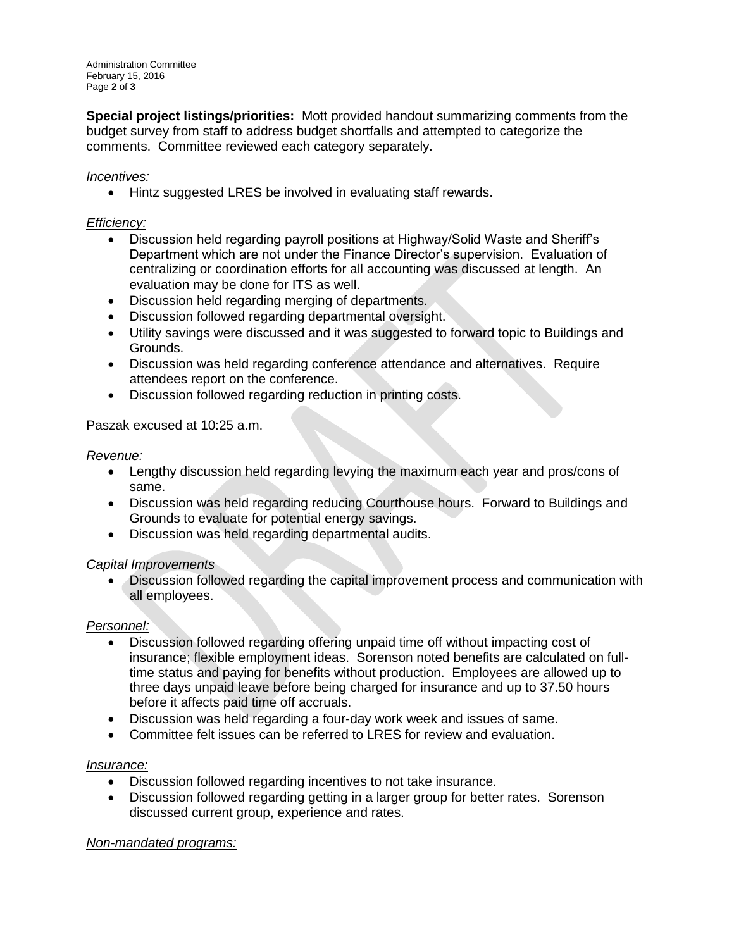Administration Committee February 15, 2016 Page **2** of **3**

**Special project listings/priorities:** Mott provided handout summarizing comments from the budget survey from staff to address budget shortfalls and attempted to categorize the comments. Committee reviewed each category separately.

## *Incentives:*

• Hintz suggested LRES be involved in evaluating staff rewards.

### *Efficiency:*

- Discussion held regarding payroll positions at Highway/Solid Waste and Sheriff's Department which are not under the Finance Director's supervision. Evaluation of centralizing or coordination efforts for all accounting was discussed at length. An evaluation may be done for ITS as well.
- Discussion held regarding merging of departments.
- Discussion followed regarding departmental oversight.
- Utility savings were discussed and it was suggested to forward topic to Buildings and Grounds.
- Discussion was held regarding conference attendance and alternatives. Require attendees report on the conference.
- Discussion followed regarding reduction in printing costs.

### Paszak excused at 10:25 a.m.

#### *Revenue:*

- Lengthy discussion held regarding levying the maximum each year and pros/cons of same.
- Discussion was held regarding reducing Courthouse hours. Forward to Buildings and Grounds to evaluate for potential energy savings.
- Discussion was held regarding departmental audits.

# *Capital Improvements*

 Discussion followed regarding the capital improvement process and communication with all employees.

# *Personnel:*

- Discussion followed regarding offering unpaid time off without impacting cost of insurance; flexible employment ideas. Sorenson noted benefits are calculated on fulltime status and paying for benefits without production. Employees are allowed up to three days unpaid leave before being charged for insurance and up to 37.50 hours before it affects paid time off accruals.
- Discussion was held regarding a four-day work week and issues of same.
- Committee felt issues can be referred to LRES for review and evaluation.

# *Insurance:*

- Discussion followed regarding incentives to not take insurance.
- Discussion followed regarding getting in a larger group for better rates. Sorenson discussed current group, experience and rates.

# *Non-mandated programs:*